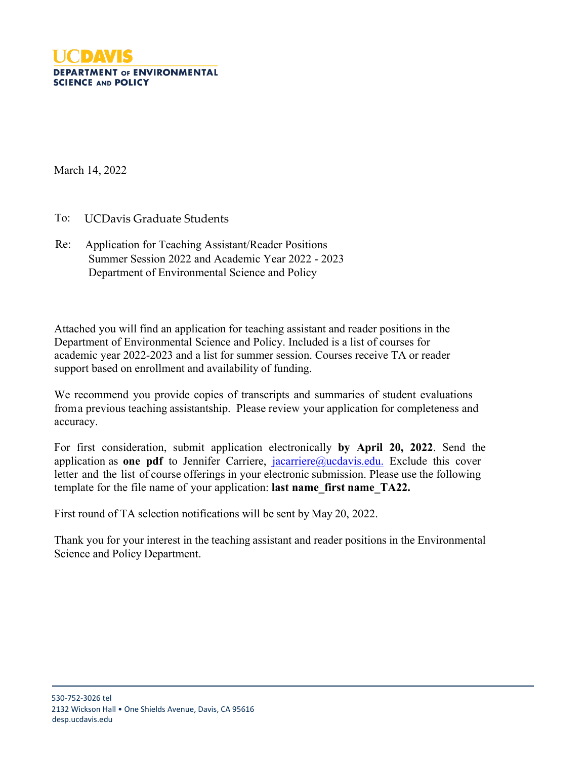

March 14, 2022

To: UCDavis Graduate Students

Re: Application for Teaching Assistant/Reader Positions Summer Session 2022 and Academic Year 2022 - 2023 Department of Environmental Science and Policy

Attached you will find an application for teaching assistant and reader positions in the Department of Environmental Science and Policy. Included is a list of courses for academic year 2022-2023 and a list for summer session. Courses receive TA or reader support based on enrollment and availability of funding.

We recommend you provide copies of transcripts and summaries of student evaluations froma previous teaching assistantship. Please review your application for completeness and accuracy.

For first consideration, submit application electronically **by April 20, 2022**. Send the application as **one pdf** to Jennifer Carriere, [jacarriere@ucdavis.edu.](mailto:jacarriere@ucdavis.edu) Exclude this cover letter and the list of course offerings in your electronic submission. Please use the following template for the file name of your application: **last name\_first name\_TA22.** 

First round of TA selection notifications will be sent by May 20, 2022.

Thank you for your interest in the teaching assistant and reader positions in the Environmental Science and Policy Department.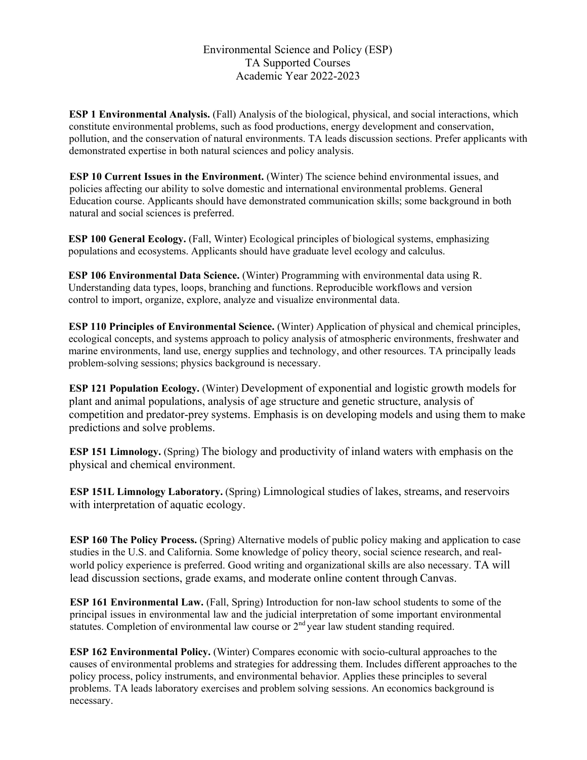### Environmental Science and Policy (ESP) TA Supported Courses Academic Year 2022-2023

**ESP 1 Environmental Analysis.** (Fall) Analysis of the biological, physical, and social interactions, which constitute environmental problems, such as food productions, energy development and conservation, pollution, and the conservation of natural environments. TA leads discussion sections. Prefer applicants with demonstrated expertise in both natural sciences and policy analysis.

**ESP 10 Current Issues in the Environment.** (Winter) The science behind environmental issues, and policies affecting our ability to solve domestic and international environmental problems. General Education course. Applicants should have demonstrated communication skills; some background in both natural and social sciences is preferred.

**ESP 100 General Ecology.** (Fall, Winter) Ecological principles of biological systems, emphasizing populations and ecosystems. Applicants should have graduate level ecology and calculus.

**ESP 106 Environmental Data Science.** (Winter) Programming with environmental data using R. Understanding data types, loops, branching and functions. Reproducible workflows and version control to import, organize, explore, analyze and visualize environmental data.

**ESP 110 Principles of Environmental Science.** (Winter) Application of physical and chemical principles, ecological concepts, and systems approach to policy analysis of atmospheric environments, freshwater and marine environments, land use, energy supplies and technology, and other resources. TA principally leads problem-solving sessions; physics background is necessary.

**ESP 121 Population Ecology.** (Winter) Development of exponential and logistic growth models for plant and animal populations, analysis of age structure and genetic structure, analysis of competition and predator-prey systems. Emphasis is on developing models and using them to make predictions and solve problems.

**ESP 151 Limnology.** (Spring) The biology and productivity of inland waters with emphasis on the physical and chemical environment.

**ESP 151L Limnology Laboratory.** (Spring) Limnological studies of lakes, streams, and reservoirs with interpretation of aquatic ecology.

**ESP 160 The Policy Process.** (Spring) Alternative models of public policy making and application to case studies in the U.S. and California. Some knowledge of policy theory, social science research, and realworld policy experience is preferred. Good writing and organizational skills are also necessary. TA will lead discussion sections, grade exams, and moderate online content through Canvas.

**ESP 161 Environmental Law.** (Fall, Spring) Introduction for non-law school students to some of the principal issues in environmental law and the judicial interpretation of some important environmental statutes. Completion of environmental law course or  $2<sup>nd</sup>$  year law student standing required.

**ESP 162 Environmental Policy.** (Winter) Compares economic with socio-cultural approaches to the causes of environmental problems and strategies for addressing them. Includes different approaches to the policy process, policy instruments, and environmental behavior. Applies these principles to several problems. TA leads laboratory exercises and problem solving sessions. An economics background is necessary.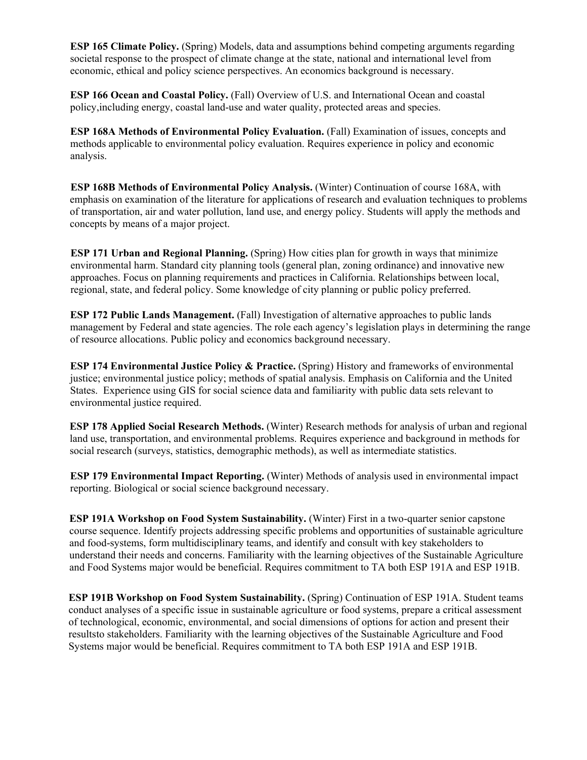**ESP 165 Climate Policy.** (Spring) Models, data and assumptions behind competing arguments regarding societal response to the prospect of climate change at the state, national and international level from economic, ethical and policy science perspectives. An economics background is necessary.

**ESP 166 Ocean and Coastal Policy.** (Fall) Overview of U.S. and International Ocean and coastal policy,including energy, coastal land-use and water quality, protected areas and species.

**ESP 168A Methods of Environmental Policy Evaluation.** (Fall) Examination of issues, concepts and methods applicable to environmental policy evaluation. Requires experience in policy and economic analysis.

**ESP 168B Methods of Environmental Policy Analysis.** (Winter) Continuation of course 168A, with emphasis on examination of the literature for applications of research and evaluation techniques to problems of transportation, air and water pollution, land use, and energy policy. Students will apply the methods and concepts by means of a major project.

**ESP 171 Urban and Regional Planning.** (Spring) How cities plan for growth in ways that minimize environmental harm. Standard city planning tools (general plan, zoning ordinance) and innovative new approaches. Focus on planning requirements and practices in California. Relationships between local, regional, state, and federal policy. Some knowledge of city planning or public policy preferred.

**ESP 172 Public Lands Management.** (Fall) Investigation of alternative approaches to public lands management by Federal and state agencies. The role each agency's legislation plays in determining the range of resource allocations. Public policy and economics background necessary.

**ESP 174 Environmental Justice Policy & Practice.** (Spring) History and frameworks of environmental justice; environmental justice policy; methods of spatial analysis. Emphasis on California and the United States. Experience using GIS for social science data and familiarity with public data sets relevant to environmental justice required.

**ESP 178 Applied Social Research Methods.** (Winter) Research methods for analysis of urban and regional land use, transportation, and environmental problems. Requires experience and background in methods for social research (surveys, statistics, demographic methods), as well as intermediate statistics.

**ESP 179 Environmental Impact Reporting.** (Winter) Methods of analysis used in environmental impact reporting. Biological or social science background necessary.

**ESP 191A Workshop on Food System Sustainability.** (Winter) First in a two-quarter senior capstone course sequence. Identify projects addressing specific problems and opportunities of sustainable agriculture and food-systems, form multidisciplinary teams, and identify and consult with key stakeholders to understand their needs and concerns. Familiarity with the learning objectives of the Sustainable Agriculture and Food Systems major would be beneficial. Requires commitment to TA both ESP 191A and ESP 191B.

**ESP 191B Workshop on Food System Sustainability.** (Spring) Continuation of ESP 191A. Student teams conduct analyses of a specific issue in sustainable agriculture or food systems, prepare a critical assessment of technological, economic, environmental, and social dimensions of options for action and present their resultsto stakeholders. Familiarity with the learning objectives of the Sustainable Agriculture and Food Systems major would be beneficial. Requires commitment to TA both ESP 191A and ESP 191B.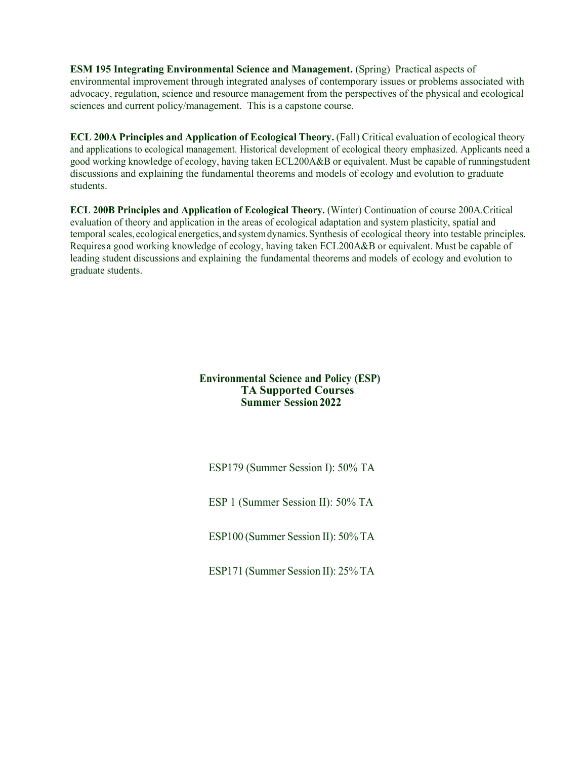**ESM 195 Integrating Environmental Science and Management.** (Spring) Practical aspects of environmental improvement through integrated analyses of contemporary issues or problems associated with advocacy, regulation, science and resource management from the perspectives of the physical and ecological sciences and current policy/management. This is a capstone course.

**ECL 200A Principles and Application of Ecological Theory.** (Fall) Critical evaluation of ecological theory and applications to ecological management. Historical development of ecological theory emphasized. Applicants need a good working knowledge of ecology, having taken ECL200A&B or equivalent. Must be capable of runningstudent discussions and explaining the fundamental theorems and models of ecology and evolution to graduate students.

**ECL 200B Principles and Application of Ecological Theory.** (Winter) Continuation of course 200A.Critical evaluation of theory and application in the areas of ecological adaptation and system plasticity, spatial and temporal scales, ecological energetics,and systemdynamics.Synthesis of ecological theory into testable principles. Requires a good working knowledge of ecology, having taken ECL200A&B or equivalent. Must be capable of leading student discussions and explaining the fundamental theorems and models of ecology and evolution to graduate students.

#### **Environmental Science and Policy (ESP) TA Supported Courses Summer Session2022**

ESP179 (Summer Session I): 50% TA

ESP 1 (Summer Session II): 50% TA

ESP100 (Summer Session II): 50% TA

ESP171 (Summer Session II): 25% TA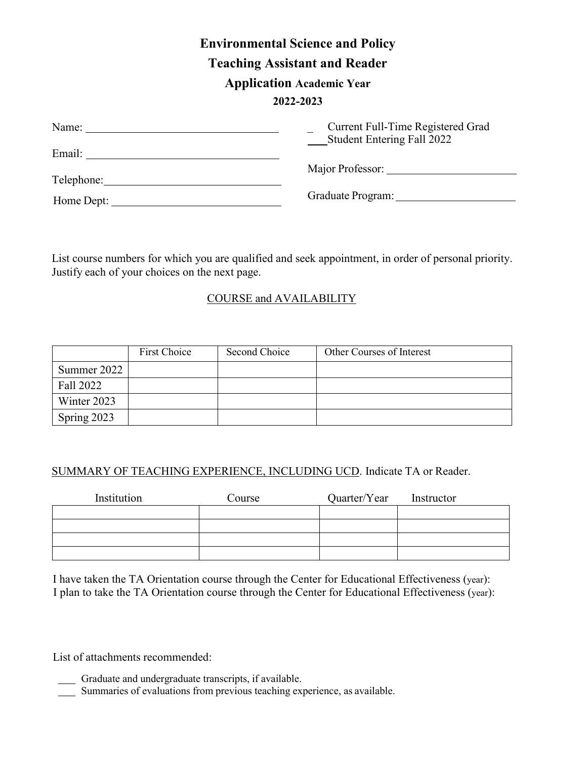# **Environmental Science and Policy Teaching Assistant and Reader Application Academic Year 2022-2023**

| Name:      | Current Full-Time Registered Grad<br>Student Entering Fall 2022 |
|------------|-----------------------------------------------------------------|
| Email:     |                                                                 |
|            | Major Professor:                                                |
| Telephone: |                                                                 |
| Home Dept: | Graduate Program:                                               |

List course numbers for which you are qualified and seek appointment, in order of personal priority. Justify each of your choices on the next page.

# COURSE and AVAILABILITY

|               | First Choice | Second Choice | Other Courses of Interest |
|---------------|--------------|---------------|---------------------------|
| Summer $2022$ |              |               |                           |
| Fall 2022     |              |               |                           |
| Winter 2023   |              |               |                           |
| Spring 2023   |              |               |                           |

## SUMMARY OF TEACHING EXPERIENCE, INCLUDING UCD. Indicate TA or Reader.

| Institution | Course | Quarter/Year | Instructor |
|-------------|--------|--------------|------------|
|             |        |              |            |
|             |        |              |            |
|             |        |              |            |
|             |        |              |            |

I have taken the TA Orientation course through the Center for Educational Effectiveness (year): I plan to take the TA Orientation course through the Center for Educational Effectiveness (year):

List of attachments recommended:

- Graduate and undergraduate transcripts, if available.
- Summaries of evaluations from previous teaching experience, as available.